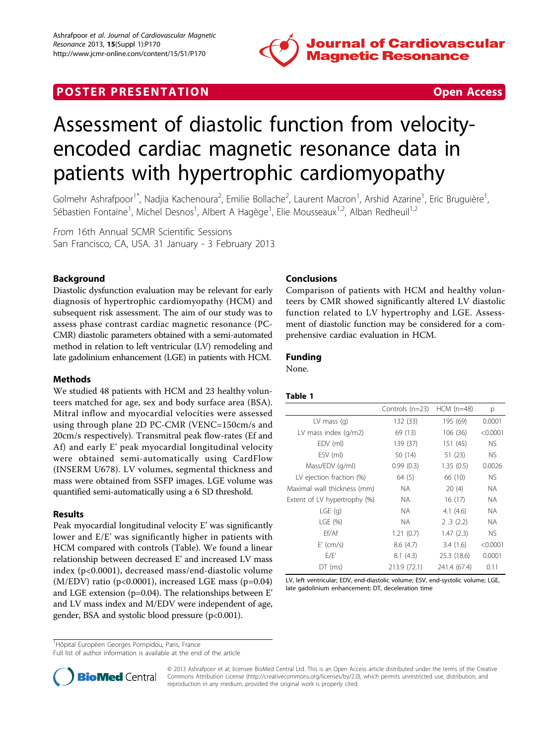

# **POSTER PRESENTATION CONSUMING THE SECOND CONSUMING THE SECOND CONSUMING THE SECOND CONSUMING THE SECOND CONSUMING THE SECOND CONSUMING THE SECOND CONSUMING THE SECOND CONSUMING THE SECOND CONSUMING THE SECOND CONSUMING**

# Assessment of diastolic function from velocityencoded cardiac magnetic resonance data in patients with hypertrophic cardiomyopathy

Golmehr Ashrafpoor<sup>1\*</sup>, Nadjia Kachenoura<sup>2</sup>, Emilie Bollache<sup>2</sup>, Laurent Macron<sup>1</sup>, Arshid Azarine<sup>1</sup>, Eric Bruguière<sup>1</sup> , Sébastien Fontaine<sup>1</sup>, Michel Desnos<sup>1</sup>, Albert A Hagège<sup>1</sup>, Elie Mousseaux<sup>1,2</sup>, Alban Redheuil<sup>1,2</sup>

From 16th Annual SCMR Scientific Sessions San Francisco, CA, USA. 31 January - 3 February 2013

# Background

Diastolic dysfunction evaluation may be relevant for early diagnosis of hypertrophic cardiomyopathy (HCM) and subsequent risk assessment. The aim of our study was to assess phase contrast cardiac magnetic resonance (PC-CMR) diastolic parameters obtained with a semi-automated method in relation to left ventricular (LV) remodeling and late gadolinium enhancement (LGE) in patients with HCM.

#### Methods

We studied 48 patients with HCM and 23 healthy volunteers matched for age, sex and body surface area (BSA). Mitral inflow and myocardial velocities were assessed using through plane 2D PC-CMR (VENC=150cm/s and 20cm/s respectively). Transmitral peak flow-rates (Ef and Af) and early E' peak myocardial longitudinal velocity were obtained semi-automatically using CardFlow (INSERM U678). LV volumes, segmental thickness and mass were obtained from SSFP images. LGE volume was quantified semi-automatically using a 6 SD threshold.

#### Results

Peak myocardial longitudinal velocity E' was significantly lower and E/E' was significantly higher in patients with HCM compared with controls (Table). We found a linear relationship between decreased E' and increased LV mass index (p<0.0001), decreased mass/end-diastolic volume  $(M/EDV)$  ratio (p<0.0001), increased LGE mass (p=0.04) and LGE extension (p=0.04). The relationships between E' and LV mass index and M/EDV were independent of age, gender, BSA and systolic blood pressure (p<0.001).

## Conclusions

Comparison of patients with HCM and healthy volunteers by CMR showed significantly altered LV diastolic function related to LV hypertrophy and LGE. Assessment of diastolic function may be considered for a comprehensive cardiac evaluation in HCM.

## Funding

None.

#### Table 1

|                              | Controls (n=23) | $HCM$ (n=48) | р         |
|------------------------------|-----------------|--------------|-----------|
| LV mass $(q)$                | 132 (33)        | 195 (69)     | 0.0001    |
| LV mass index $(q/m2)$       | 69 (13)         | 106(36)      | < 0.0001  |
| EDV (ml)                     | 139 (37)        | 151 (45)     | NS.       |
| ESV (ml)                     | 50 (14)         | 51 (23)      | <b>NS</b> |
| Mass/EDV (g/ml)              | 0.99(0.3)       | 1.35(0.5)    | 0.0026    |
| LV ejection fraction (%)     | 64 (5)          | 66 (10)      | <b>NS</b> |
| Maximal wall thickness (mm)  | NA.             | 20(4)        | <b>NA</b> |
| Extent of LV hypertrophy (%) | NA.             | 16(17)       | NA.       |
| $LGE$ (g)                    | NA.             | 4.1 $(4.6)$  | NА        |
| LGE $(\%)$                   | NA.             | 2.3(2.2)     | <b>NA</b> |
| Ff/Af                        | 1.21(0.7)       | 1.47(2.3)    | NS.       |
| $E'$ (cm/s)                  | 8.6(4.7)        | 3.4(1.6)     | < 0.0001  |
| E/E'                         | 8.1(4.3)        | 25.3 (18.6)  | 0.0001    |
| $DT$ (ms)                    | 213.9 (72.1)    | 241.4 (67.4) | 0.11      |

LV, left ventricular; EDV, end-diastolic volume; ESV, end-systolic volume; LGE, late gadolinium enhancement; DT, deceleration time

Full list of author information is available at the end of the article



© 2013 Ashrafpoor et al; licensee BioMed Central Ltd. This is an Open Access article distributed under the terms of the Creative Commons Attribution License [\(http://creativecommons.org/licenses/by/2.0](http://creativecommons.org/licenses/by/2.0)), which permits unrestricted use, distribution, and reproduction in any medium, provided the original work is properly cited.

<sup>&</sup>lt;sup>1</sup>Hôpital Européen Georges Pompidou, Paris, France